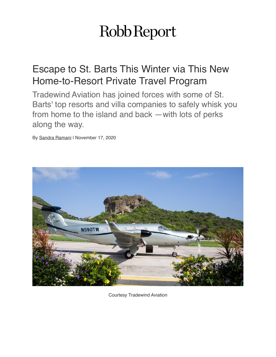## Robb Report

## Escape to St. Barts This Winter via This New Home-to-Resort Private Travel Program

Tradewind Aviation has joined forces with some of St. Barts' top resorts and villa companies to safely whisk you from home to the island and back —with lots of perks along the way.

By [Sandra Ramani](https://robbreport.com/author/sandra-ramani/) | November 17, 2020



Courtesy Tradewind Aviation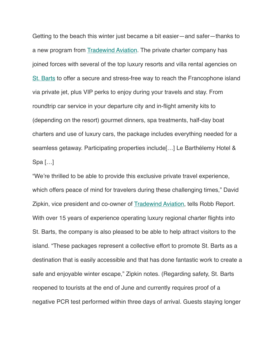Getting to the beach this winter just became a bit easier—and safer—thanks to a new program from [Tradewind Aviation](http://Courtesy%20Tradewind%20Aviation). The private charter company has joined forces with several of the top luxury resorts and villa rental agencies on [St. Barts](https://robbreport.com/tag/st-barts/) to offer a secure and stress-free way to reach the Francophone island via private jet, plus VIP perks to enjoy during your travels and stay. From roundtrip car service in your departure city and in-flight amenity kits to (depending on the resort) gourmet dinners, spa treatments, half-day boat charters and use of luxury cars, the package includes everything needed for a seamless getaway. Participating properties include[…] Le Barthélemy Hotel & Spa […]

"We're thrilled to be able to provide this exclusive private travel experience, which offers peace of mind for travelers during these challenging times," David Zipkin, vice president and co-owner of [Tradewind Aviation,](https://robbreport.com/tag/tradewind-aviation/) tells Robb Report. With over 15 years of experience operating luxury regional charter flights into St. Barts, the company is also pleased to be able to help attract visitors to the island. "These packages represent a collective effort to promote St. Barts as a destination that is easily accessible and that has done fantastic work to create a safe and enjoyable winter escape," Zipkin notes. (Regarding safety, St. Barts reopened to tourists at the end of June and currently requires proof of a negative PCR test performed within three days of arrival. Guests staying longer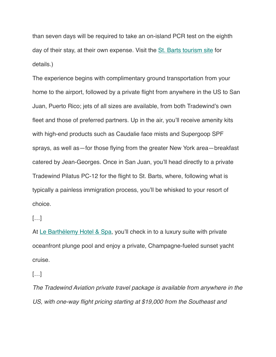than seven days will be required to take an on-island PCR test on the eighth day of their stay, at their own expense. Visit the [St. Barts tourism site](https://www.saintbarth-tourisme.com/en/download-category/covid19-en/) for details.)

The experience begins with complimentary ground transportation from your home to the airport, followed by a private flight from anywhere in the US to San Juan, Puerto Rico; jets of all sizes are available, from both Tradewind's own fleet and those of preferred partners. Up in the air, you'll receive amenity kits with high-end products such as Caudalie face mists and Supergoop SPF sprays, as well as—for those flying from the greater New York area—breakfast catered by Jean-Georges. Once in San Juan, you'll head directly to a private Tradewind Pilatus PC-12 for the flight to St. Barts, where, following what is typically a painless immigration process, you'll be whisked to your resort of choice.

## […]

At [Le Barthélemy Hotel & Spa](https://www.lebarthelemyhotel.com/en), you'll check in to a luxury suite with private oceanfront plunge pool and enjoy a private, Champagne-fueled sunset yacht cruise.

[…]

*The Tradewind Aviation private travel package is available from anywhere in the US, with one-way flight pricing starting at \$19,000 from the Southeast and*